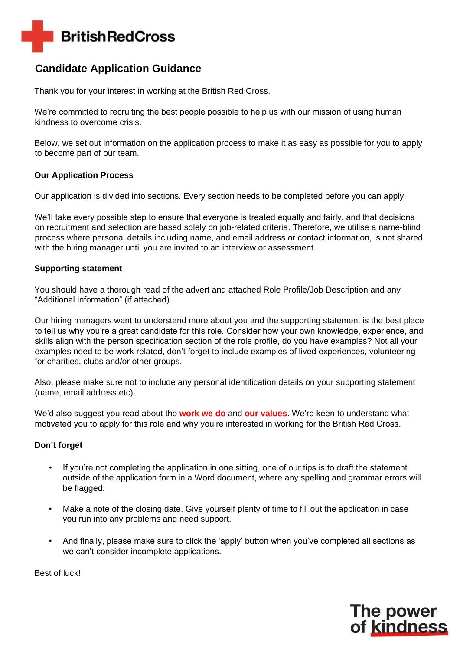

## **Candidate Application Guidance**

Thank you for your interest in working at the British Red Cross.

We're committed to recruiting the best people possible to help us with our mission of using human kindness to overcome crisis.

Below, we set out information on the application process to make it as easy as possible for you to apply to become part of our team.

### **Our Application Process**

Our application is divided into sections. Every section needs to be completed before you can apply.

We'll take every possible step to ensure that everyone is treated equally and fairly, and that decisions on recruitment and selection are based solely on job-related criteria. Therefore, we utilise a name-blind process where personal details including name, and email address or contact information, is not shared with the hiring manager until you are invited to an interview or assessment.

### **Supporting statement**

You should have a thorough read of the advert and attached Role Profile/Job Description and any "Additional information" (if attached).

Our hiring managers want to understand more about you and the supporting statement is the best place to tell us why you're a great candidate for this role. Consider how your own knowledge, experience, and skills align with the person specification section of the role profile, do you have examples? Not all your examples need to be work related, don't forget to include examples of lived experiences, volunteering for charities, clubs and/or other groups.

Also, please make sure not to include any personal identification details on your supporting statement (name, email address etc).

We'd also suggest you read about the **[work we do](https://www.redcross.org.uk/about-us/what-we-do)** [a](https://www.redcross.org.uk/about-us/what-we-do)n[d](https://www.redcross.org.uk/about-us/what-we-stand-for) **[our values](https://www.redcross.org.uk/about-us/what-we-stand-for)**[.](https://www.redcross.org.uk/about-us/what-we-stand-for) We're keen to understand what motivated you to apply for this role and why you're interested in working for the British Red Cross.

### **Don't forget**

- If you're not completing the application in one sitting, one of our tips is to draft the statement outside of the application form in a Word document, where any spelling and grammar errors will be flagged.
- Make a note of the closing date. Give yourself plenty of time to fill out the application in case you run into any problems and need support.
- And finally, please make sure to click the 'apply' button when you've completed all sections as we can't consider incomplete applications.

Best of luck!